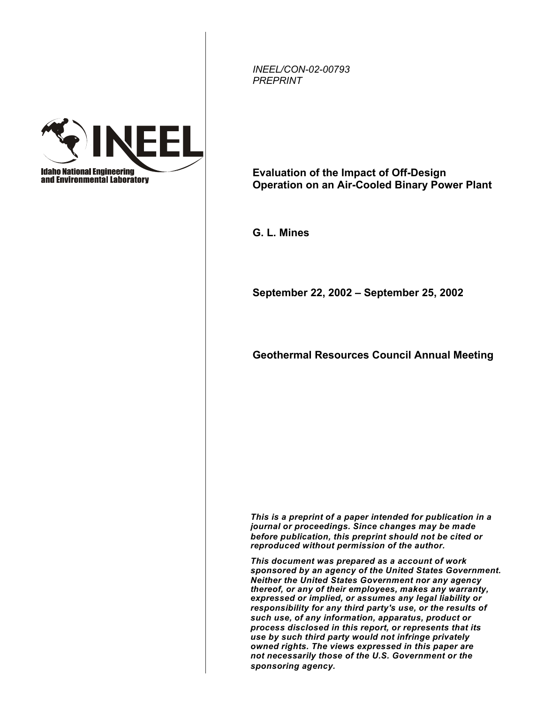*INEEL/CON-02-00793 PREPRINT*



**Evaluation of the Impact of Off-Design Operation on an Air-Cooled Binary Power Plant** 

**G. L. Mines**

**September 22, 2002 – September 25, 2002** 

**Geothermal Resources Council Annual Meeting** 

*This is a preprint of a paper intended for publication in a journal or proceedings. Since changes may be made before publication, this preprint should not be cited or reproduced without permission of the author.*

*This document was prepared as a account of work sponsored by an agency of the United States Government. Neither the United States Government nor any agency thereof, or any of their employees, makes any warranty, expressed or implied, or assumes any legal liability or responsibility for any third party's use, or the results of such use, of any information, apparatus, product or process disclosed in this report, or represents that its use by such third party would not infringe privately owned rights. The views expressed in this paper are not necessarily those of the U.S. Government or the sponsoring agency.*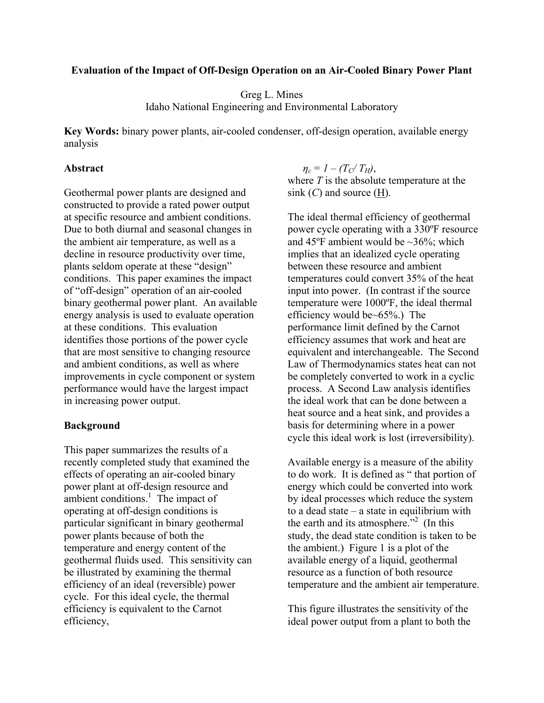# **Evaluation of the Impact of Off-Design Operation on an Air-Cooled Binary Power Plant**

# Greg L. Mines Idaho National Engineering and Environmental Laboratory

**Key Words:** binary power plants, air-cooled condenser, off-design operation, available energy analysis

# **Abstract**

Geothermal power plants are designed and constructed to provide a rated power output at specific resource and ambient conditions. Due to both diurnal and seasonal changes in the ambient air temperature, as well as a decline in resource productivity over time, plants seldom operate at these "design" conditions. This paper examines the impact of "off-design" operation of an air-cooled binary geothermal power plant. An available energy analysis is used to evaluate operation at these conditions. This evaluation identifies those portions of the power cycle that are most sensitive to changing resource and ambient conditions, as well as where improvements in cycle component or system performance would have the largest impact in increasing power output.

# **Background**

This paper summarizes the results of a recently completed study that examined the effects of operating an air-cooled binary power plant at off-design resource and ambient conditions. $\frac{1}{1}$  The impact of operating at off-design conditions is particular significant in binary geothermal power plants because of both the temperature and energy content of the geothermal fluids used. This sensitivity can be illustrated by examining the thermal efficiency of an ideal (reversible) power cycle. For this ideal cycle, the thermal efficiency is equivalent to the Carnot efficiency,

 $\eta_c = I - (T_C/T_H)$ , where *T* is the absolute temperature at the sink (*C*) and source (H).

The ideal thermal efficiency of geothermal power cycle operating with a 330ºF resource and 45 $\degree$ F ambient would be  $\sim$ 36%; which implies that an idealized cycle operating between these resource and ambient temperatures could convert 35% of the heat input into power. (In contrast if the source temperature were 1000ºF, the ideal thermal efficiency would be~65%.) The performance limit defined by the Carnot efficiency assumes that work and heat are equivalent and interchangeable. The Second Law of Thermodynamics states heat can not be completely converted to work in a cyclic process. A Second Law analysis identifies the ideal work that can be done between a heat source and a heat sink, and provides a basis for determining where in a power cycle this ideal work is lost (irreversibility).

Available energy is a measure of the ability to do work. It is defined as " that portion of energy which could be converted into work by ideal processes which reduce the system to a dead state – a state in equilibrium with the earth and its atmosphere."<sup>2</sup> (In this study, the dead state condition is taken to be the ambient.) Figure 1 is a plot of the available energy of a liquid, geothermal resource as a function of both resource temperature and the ambient air temperature.

This figure illustrates the sensitivity of the ideal power output from a plant to both the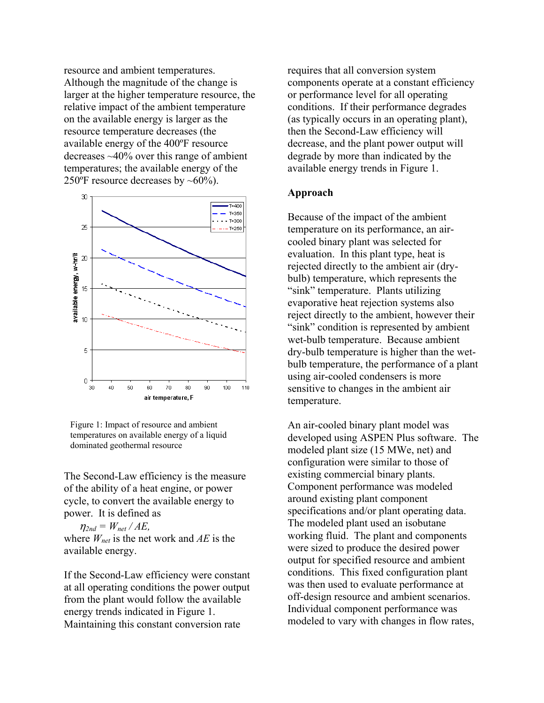resource and ambient temperatures. Although the magnitude of the change is larger at the higher temperature resource, the relative impact of the ambient temperature on the available energy is larger as the resource temperature decreases (the available energy of the 400ºF resource decreases ~40% over this range of ambient temperatures; the available energy of the 250 $\mathrm{^oF}$  resource decreases by ~60%).





The Second-Law efficiency is the measure of the ability of a heat engine, or power cycle, to convert the available energy to power. It is defined as

 $\eta_{2nd} = W_{net} / AE$ , where *Wnet* is the net work and *AE* is the available energy.

If the Second-Law efficiency were constant at all operating conditions the power output from the plant would follow the available energy trends indicated in Figure 1. Maintaining this constant conversion rate

requires that all conversion system components operate at a constant efficiency or performance level for all operating conditions. If their performance degrades (as typically occurs in an operating plant), then the Second-Law efficiency will decrease, and the plant power output will degrade by more than indicated by the available energy trends in Figure 1.

## **Approach**

Because of the impact of the ambient temperature on its performance, an aircooled binary plant was selected for evaluation. In this plant type, heat is rejected directly to the ambient air (drybulb) temperature, which represents the "sink" temperature. Plants utilizing evaporative heat rejection systems also reject directly to the ambient, however their "sink" condition is represented by ambient wet-bulb temperature. Because ambient dry-bulb temperature is higher than the wetbulb temperature, the performance of a plant using air-cooled condensers is more sensitive to changes in the ambient air temperature.

An air-cooled binary plant model was developed using ASPEN Plus software. The modeled plant size (15 MWe, net) and configuration were similar to those of existing commercial binary plants. Component performance was modeled around existing plant component specifications and/or plant operating data. The modeled plant used an isobutane working fluid. The plant and components were sized to produce the desired power output for specified resource and ambient conditions. This fixed configuration plant was then used to evaluate performance at off-design resource and ambient scenarios. Individual component performance was modeled to vary with changes in flow rates,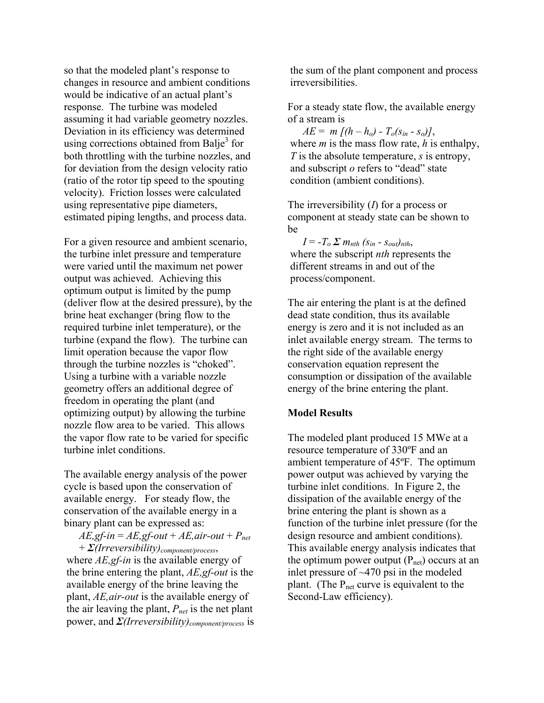so that the modeled plant's response to changes in resource and ambient conditions would be indicative of an actual plant's response. The turbine was modeled assuming it had variable geometry nozzles. Deviation in its efficiency was determined using corrections obtained from Balje<sup>3</sup> for both throttling with the turbine nozzles, and for deviation from the design velocity ratio (ratio of the rotor tip speed to the spouting velocity). Friction losses were calculated using representative pipe diameters, estimated piping lengths, and process data.

For a given resource and ambient scenario, the turbine inlet pressure and temperature were varied until the maximum net power output was achieved. Achieving this optimum output is limited by the pump (deliver flow at the desired pressure), by the brine heat exchanger (bring flow to the required turbine inlet temperature), or the turbine (expand the flow). The turbine can limit operation because the vapor flow through the turbine nozzles is "choked". Using a turbine with a variable nozzle geometry offers an additional degree of freedom in operating the plant (and optimizing output) by allowing the turbine nozzle flow area to be varied. This allows the vapor flow rate to be varied for specific turbine inlet conditions.

The available energy analysis of the power cycle is based upon the conservation of available energy. For steady flow, the conservation of the available energy in a binary plant can be expressed as:

 $AE$ *,gf-in* =  $AE$ *,gf-out* +  $AE$ *,air-out* +  $P_{net}$ + *Ȉ(Irreversibility)component/process*,

where *AE,gf-in* is the available energy of the brine entering the plant, *AE,gf-out* is the available energy of the brine leaving the plant, *AE,air-out* is the available energy of the air leaving the plant, *Pnet* is the net plant power, and  $\Sigma$ *(Irreversibility)*<sub>component/process</sub> is the sum of the plant component and process irreversibilities.

For a steady state flow, the available energy of a stream is

*AE* = *m*  $\int (h - h_o) - T_o(s_{in} - s_o)$ , where *m* is the mass flow rate, *h* is enthalpy, *T* is the absolute temperature, *s* is entropy, and subscript *o* refers to "dead" state condition (ambient conditions).

The irreversibility (*I*) for a process or component at steady state can be shown to be

 $I = -T_o \Sigma m_{nth} (s_{in} - s_{out})_{nth}$ , where the subscript *nth* represents the different streams in and out of the process/component.

The air entering the plant is at the defined dead state condition, thus its available energy is zero and it is not included as an inlet available energy stream. The terms to the right side of the available energy conservation equation represent the consumption or dissipation of the available energy of the brine entering the plant.

# **Model Results**

The modeled plant produced 15 MWe at a resource temperature of 330ºF and an ambient temperature of 45ºF. The optimum power output was achieved by varying the turbine inlet conditions. In Figure 2, the dissipation of the available energy of the brine entering the plant is shown as a function of the turbine inlet pressure (for the design resource and ambient conditions). This available energy analysis indicates that the optimum power output  $(P_{net})$  occurs at an inlet pressure of ~470 psi in the modeled plant. (The  $P_{net}$  curve is equivalent to the Second-Law efficiency).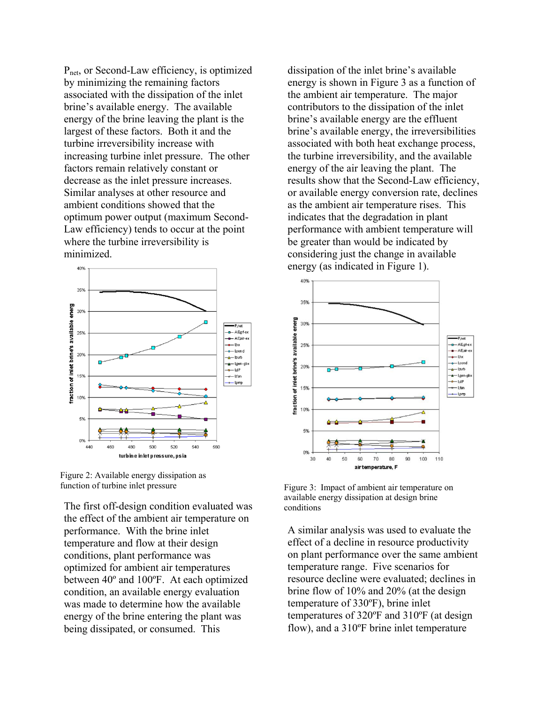Pnet, or Second-Law efficiency, is optimized by minimizing the remaining factors associated with the dissipation of the inlet brine's available energy. The available energy of the brine leaving the plant is the largest of these factors. Both it and the turbine irreversibility increase with increasing turbine inlet pressure. The other factors remain relatively constant or decrease as the inlet pressure increases. Similar analyses at other resource and ambient conditions showed that the optimum power output (maximum Second-Law efficiency) tends to occur at the point where the turbine irreversibility is minimized.





The first off-design condition evaluated was the effect of the ambient air temperature on performance. With the brine inlet temperature and flow at their design conditions, plant performance was optimized for ambient air temperatures between 40º and 100ºF. At each optimized condition, an available energy evaluation was made to determine how the available energy of the brine entering the plant was being dissipated, or consumed. This

dissipation of the inlet brine's available energy is shown in Figure 3 as a function of the ambient air temperature. The major contributors to the dissipation of the inlet brine's available energy are the effluent brine's available energy, the irreversibilities associated with both heat exchange process, the turbine irreversibility, and the available energy of the air leaving the plant. The results show that the Second-Law efficiency, or available energy conversion rate, declines as the ambient air temperature rises. This indicates that the degradation in plant performance with ambient temperature will be greater than would be indicated by considering just the change in available energy (as indicated in Figure 1).



available energy dissipation at design brine

A similar analysis was used to evaluate the effect of a decline in resource productivity on plant performance over the same ambient temperature range. Five scenarios for resource decline were evaluated; declines in brine flow of 10% and 20% (at the design temperature of 330ºF), brine inlet temperatures of 320ºF and 310ºF (at design flow), and a 310ºF brine inlet temperature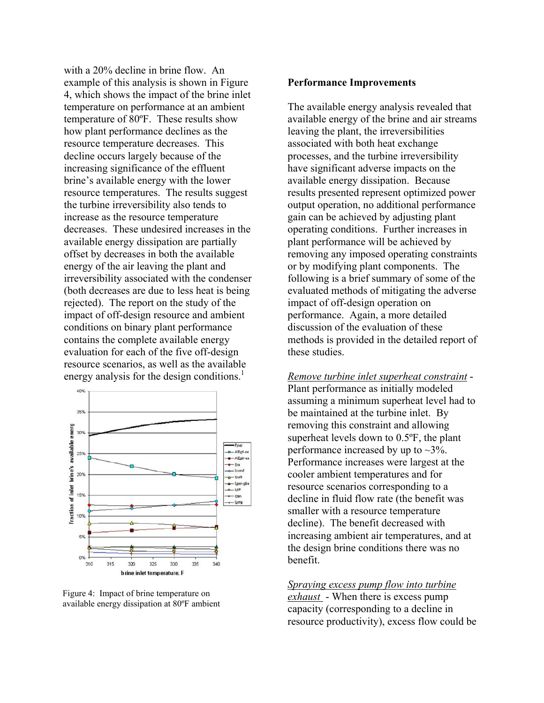with a 20% decline in brine flow. An example of this analysis is shown in Figure 4, which shows the impact of the brine inlet temperature on performance at an ambient temperature of 80ºF. These results show how plant performance declines as the resource temperature decreases. This decline occurs largely because of the increasing significance of the effluent brine's available energy with the lower resource temperatures. The results suggest the turbine irreversibility also tends to increase as the resource temperature decreases. These undesired increases in the available energy dissipation are partially offset by decreases in both the available energy of the air leaving the plant and irreversibility associated with the condenser (both decreases are due to less heat is being rejected). The report on the study of the impact of off-design resource and ambient conditions on binary plant performance contains the complete available energy evaluation for each of the five off-design resource scenarios, as well as the available energy analysis for the design conditions.<sup>1</sup>



Figure 4: Impact of brine temperature on available energy dissipation at 80ºF ambient

## **Performance Improvements**

The available energy analysis revealed that available energy of the brine and air streams leaving the plant, the irreversibilities associated with both heat exchange processes, and the turbine irreversibility have significant adverse impacts on the available energy dissipation. Because results presented represent optimized power output operation, no additional performance gain can be achieved by adjusting plant operating conditions. Further increases in plant performance will be achieved by removing any imposed operating constraints or by modifying plant components. The following is a brief summary of some of the evaluated methods of mitigating the adverse impact of off-design operation on performance. Again, a more detailed discussion of the evaluation of these methods is provided in the detailed report of these studies.

## *Remove turbine inlet superheat constraint* -

Plant performance as initially modeled assuming a minimum superheat level had to be maintained at the turbine inlet. By removing this constraint and allowing superheat levels down to 0.5ºF, the plant performance increased by up to  $\sim 3\%$ . Performance increases were largest at the cooler ambient temperatures and for resource scenarios corresponding to a decline in fluid flow rate (the benefit was smaller with a resource temperature decline). The benefit decreased with increasing ambient air temperatures, and at the design brine conditions there was no benefit.

#### *Spraying excess pump flow into turbine*

*exhaust* - When there is excess pump capacity (corresponding to a decline in resource productivity), excess flow could be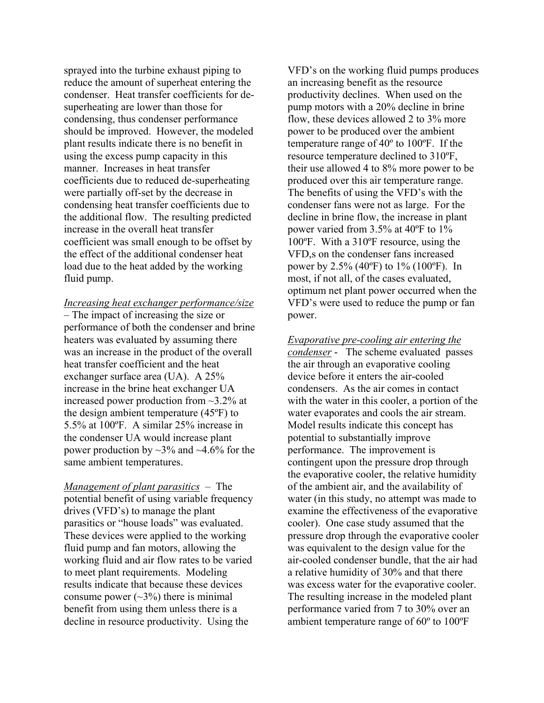sprayed into the turbine exhaust piping to reduce the amount of superheat entering the condenser. Heat transfer coefficients for desuperheating are lower than those for condensing, thus condenser performance should be improved. However, the modeled plant results indicate there is no benefit in using the excess pump capacity in this manner. Increases in heat transfer coefficients due to reduced de-superheating were partially off-set by the decrease in condensing heat transfer coefficients due to the additional flow. The resulting predicted increase in the overall heat transfer coefficient was small enough to be offset by the effect of the additional condenser heat load due to the heat added by the working fluid pump.

## *Increasing heat exchanger performance/size*

– The impact of increasing the size or performance of both the condenser and brine heaters was evaluated by assuming there was an increase in the product of the overall heat transfer coefficient and the heat exchanger surface area (UA). A 25% increase in the brine heat exchanger UA increased power production from ~3.2% at the design ambient temperature (45ºF) to 5.5% at 100ºF. A similar 25% increase in the condenser UA would increase plant power production by  $\sim$ 3% and  $\sim$ 4.6% for the same ambient temperatures.

*Management of plant parasitics* – The potential benefit of using variable frequency drives (VFD's) to manage the plant parasitics or "house loads" was evaluated. These devices were applied to the working fluid pump and fan motors, allowing the working fluid and air flow rates to be varied to meet plant requirements. Modeling results indicate that because these devices consume power  $(\sim 3\%)$  there is minimal benefit from using them unless there is a decline in resource productivity. Using the

VFD's on the working fluid pumps produces an increasing benefit as the resource productivity declines. When used on the pump motors with a 20% decline in brine flow, these devices allowed 2 to 3% more power to be produced over the ambient temperature range of 40º to 100ºF. If the resource temperature declined to 310ºF, their use allowed 4 to 8% more power to be produced over this air temperature range. The benefits of using the VFD's with the condenser fans were not as large. For the decline in brine flow, the increase in plant power varied from 3.5% at 40ºF to 1% 100ºF. With a 310ºF resource, using the VFD,s on the condenser fans increased power by 2.5% (40ºF) to 1% (100ºF). In most, if not all, of the cases evaluated, optimum net plant power occurred when the VFD's were used to reduce the pump or fan power.

*Evaporative pre-cooling air entering the condenser* - The scheme evaluated passes the air through an evaporative cooling device before it enters the air-cooled condensers. As the air comes in contact with the water in this cooler, a portion of the water evaporates and cools the air stream. Model results indicate this concept has potential to substantially improve performance. The improvement is contingent upon the pressure drop through the evaporative cooler, the relative humidity of the ambient air, and the availability of water (in this study, no attempt was made to examine the effectiveness of the evaporative cooler). One case study assumed that the pressure drop through the evaporative cooler was equivalent to the design value for the air-cooled condenser bundle, that the air had a relative humidity of 30% and that there was excess water for the evaporative cooler. The resulting increase in the modeled plant performance varied from 7 to 30% over an ambient temperature range of 60º to 100ºF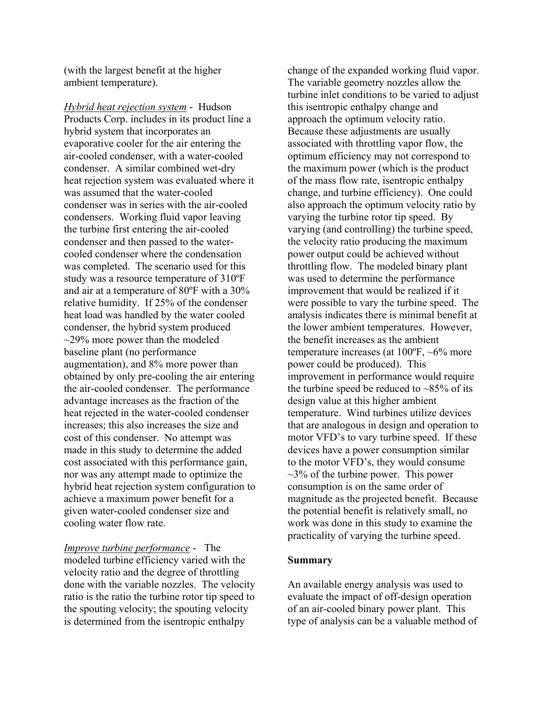(with the largest benefit at the higher ambient temperature).

*Hybrid heat rejection system* - Hudson Products Corp. includes in its product line a hybrid system that incorporates an evaporative cooler for the air entering the air-cooled condenser, with a water-cooled condenser. A similar combined wet-dry heat rejection system was evaluated where it was assumed that the water-cooled condenser was in series with the air-cooled condensers. Working fluid vapor leaving the turbine first entering the air-cooled condenser and then passed to the watercooled condenser where the condensation was completed. The scenario used for this study was a resource temperature of 310ºF and air at a temperature of 80ºF with a 30% relative humidity. If 25% of the condenser heat load was handled by the water cooled condenser, the hybrid system produced  $\sim$ 29% more power than the modeled baseline plant (no performance augmentation), and 8% more power than obtained by only pre-cooling the air entering the air-cooled condenser. The performance advantage increases as the fraction of the heat rejected in the water-cooled condenser increases; this also increases the size and cost of this condenser. No attempt was made in this study to determine the added cost associated with this performance gain, nor was any attempt made to optimize the hybrid heat rejection system configuration to achieve a maximum power benefit for a given water-cooled condenser size and cooling water flow rate.

*Improve turbine performance* - The modeled turbine efficiency varied with the velocity ratio and the degree of throttling done with the variable nozzles. The velocity ratio is the ratio the turbine rotor tip speed to the spouting velocity; the spouting velocity is determined from the isentropic enthalpy

change of the expanded working fluid vapor. The variable geometry nozzles allow the turbine inlet conditions to be varied to adjust this isentropic enthalpy change and approach the optimum velocity ratio. Because these adjustments are usually associated with throttling vapor flow, the optimum efficiency may not correspond to the maximum power (which is the product of the mass flow rate, isentropic enthalpy change, and turbine efficiency). One could also approach the optimum velocity ratio by varying the turbine rotor tip speed. By varying (and controlling) the turbine speed, the velocity ratio producing the maximum power output could be achieved without throttling flow. The modeled binary plant was used to determine the performance improvement that would be realized if it were possible to vary the turbine speed. The analysis indicates there is minimal benefit at the lower ambient temperatures. However, the benefit increases as the ambient temperature increases (at 100ºF, ~6% more power could be produced). This improvement in performance would require the turbine speed be reduced to  $\sim 85\%$  of its design value at this higher ambient temperature. Wind turbines utilize devices that are analogous in design and operation to motor VFD's to vary turbine speed. If these devices have a power consumption similar to the motor VFD's, they would consume  $\sim$ 3% of the turbine power. This power consumption is on the same order of magnitude as the projected benefit. Because the potential benefit is relatively small, no work was done in this study to examine the practicality of varying the turbine speed.

## **Summary**

An available energy analysis was used to evaluate the impact of off-design operation of an air-cooled binary power plant. This type of analysis can be a valuable method of